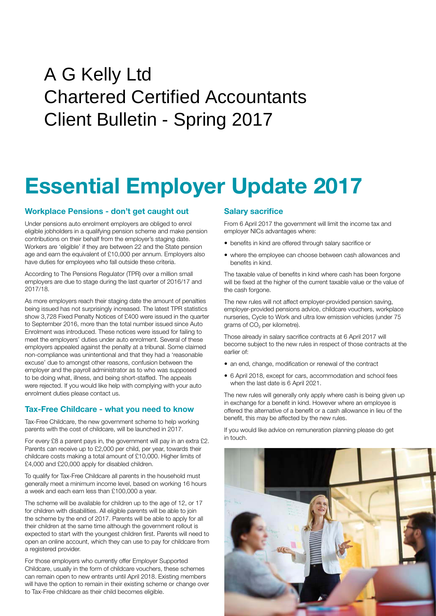## Client Bulletin - Spring 2017 A G Kelly Ltd Chartered Certified Accountants

# **Essential Employer Update 2017**

## **Workplace Pensions - don't get caught out**

Under pensions auto enrolment employers are obliged to enrol eligible jobholders in a qualifying pension scheme and make pension contributions on their behalf from the employer's staging date. Workers are 'eligible' if they are between 22 and the State pension age and earn the equivalent of £10,000 per annum. Employers also have duties for employees who fall outside these criteria.

According to The Pensions Regulator (TPR) over a million small employers are due to stage during the last quarter of 2016/17 and 2017/18.

As more employers reach their staging date the amount of penalties being issued has not surprisingly increased. The latest TPR statistics show 3,728 Fixed Penalty Notices of £400 were issued in the quarter to September 2016, more than the total number issued since Auto Enrolment was introduced. These notices were issued for failing to meet the employers' duties under auto enrolment. Several of these employers appealed against the penalty at a tribunal. Some claimed non-compliance was unintentional and that they had a 'reasonable excuse' due to amongst other reasons, confusion between the employer and the payroll administrator as to who was supposed to be doing what, illness, and being short-staffed. The appeals were rejected. If you would like help with complying with your auto enrolment duties please contact us.

## **Tax-Free Childcare - what you need to know**

Tax-Free Childcare, the new government scheme to help working parents with the cost of childcare, will be launched in 2017.

For every £8 a parent pays in, the government will pay in an extra £2. Parents can receive up to £2,000 per child, per year, towards their childcare costs making a total amount of £10,000. Higher limits of £4,000 and £20,000 apply for disabled children.

To qualify for Tax-Free Childcare all parents in the household must generally meet a minimum income level, based on working 16 hours a week and each earn less than £100,000 a year.

The scheme will be available for children up to the age of 12, or 17 for children with disabilities. All eligible parents will be able to join the scheme by the end of 2017. Parents will be able to apply for all their children at the same time although the government rollout is expected to start with the youngest children first. Parents will need to open an online account, which they can use to pay for childcare from a registered provider.

For those employers who currently offer Employer Supported Childcare, usually in the form of childcare vouchers, these schemes can remain open to new entrants until April 2018. Existing members will have the option to remain in their existing scheme or change over to Tax-Free childcare as their child becomes eligible.

## **Salary sacrifice**

From 6 April 2017 the government will limit the income tax and employer NICs advantages where:

- benefits in kind are offered through salary sacrifice or
- where the employee can choose between cash allowances and benefits in kind.

The taxable value of benefits in kind where cash has been forgone will be fixed at the higher of the current taxable value or the value of the cash forgone.

The new rules will not affect employer-provided pension saving, employer-provided pensions advice, childcare vouchers, workplace nurseries, Cycle to Work and ultra low emission vehicles (under 75 grams of CO<sub>2</sub> per kilometre).

Those already in salary sacrifice contracts at 6 April 2017 will become subject to the new rules in respect of those contracts at the earlier of:

- an end, change, modification or renewal of the contract
- 6 April 2018, except for cars, accommodation and school fees when the last date is 6 April 2021.

The new rules will generally only apply where cash is being given up in exchange for a benefit in kind. However where an employee is offered the alternative of a benefit or a cash allowance in lieu of the benefit, this may be affected by the new rules.

If you would like advice on remuneration planning please do get in touch.